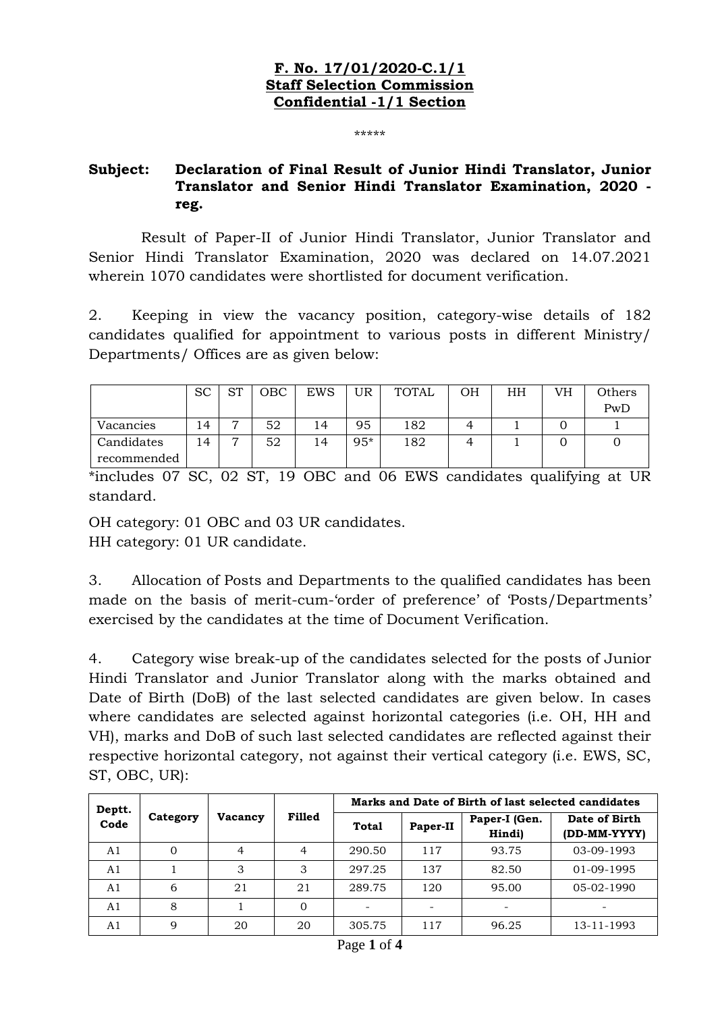## **F. No. 17/01/2020-C.1/1 Staff Selection Commission Confidential -1/1 Section**

\*\*\*\*\*

## **Subject: Declaration of Final Result of Junior Hindi Translator, Junior Translator and Senior Hindi Translator Examination, 2020 reg.**

 Result of Paper-II of Junior Hindi Translator, Junior Translator and Senior Hindi Translator Examination, 2020 was declared on 14.07.2021 wherein 1070 candidates were shortlisted for document verification.

2. Keeping in view the vacancy position, category-wise details of 182 candidates qualified for appointment to various posts in different Ministry/ Departments/ Offices are as given below:

|             | <sub>SC</sub>  | $C_{\rm T}$    | OBC | EWS | UR    | TOTAL | ΟH | ΗH | VH | Others |
|-------------|----------------|----------------|-----|-----|-------|-------|----|----|----|--------|
|             |                |                |     |     |       |       |    |    |    | PwD    |
| Vacancies   | $\overline{4}$ | $\overline{ }$ | 52  | 14  | 95    | 182   |    |    |    |        |
| Candidates  | 14             | −              | 52  | 14  | $95*$ | 182   |    |    |    |        |
| recommended |                |                |     |     |       |       |    |    |    |        |

\*includes 07 SC, 02 ST, 19 OBC and 06 EWS candidates qualifying at UR standard.

OH category: 01 OBC and 03 UR candidates.

HH category: 01 UR candidate.

3. Allocation of Posts and Departments to the qualified candidates has been made on the basis of merit-cum-'order of preference' of 'Posts/Departments' exercised by the candidates at the time of Document Verification.

4. Category wise break-up of the candidates selected for the posts of Junior Hindi Translator and Junior Translator along with the marks obtained and Date of Birth (DoB) of the last selected candidates are given below. In cases where candidates are selected against horizontal categories (i.e. OH, HH and VH), marks and DoB of such last selected candidates are reflected against their respective horizontal category, not against their vertical category (i.e. EWS, SC, ST, OBC, UR):

| Deptt.         |          |         | <b>Filled</b> | Marks and Date of Birth of last selected candidates |          |                         |                               |  |
|----------------|----------|---------|---------------|-----------------------------------------------------|----------|-------------------------|-------------------------------|--|
| Code           | Category | Vacancy |               | Total                                               | Paper-II | Paper-I (Gen.<br>Hindi) | Date of Birth<br>(DD-MM-YYYY) |  |
| A1             |          | 4       | 4             | 290.50                                              | 117      | 93.75                   | 03-09-1993                    |  |
| A <sub>1</sub> |          | 3       | 3             | 297.25                                              | 137      | 82.50                   | 01-09-1995                    |  |
| A <sub>1</sub> | 6        | 21      | 21            | 289.75                                              | 120      | 95.00                   | 05-02-1990                    |  |
| A1             | 8        |         | 0             | ۰                                                   |          |                         |                               |  |
| A1             | 9        | 20      | 20            | 305.75                                              | 117      | 96.25                   | 13-11-1993                    |  |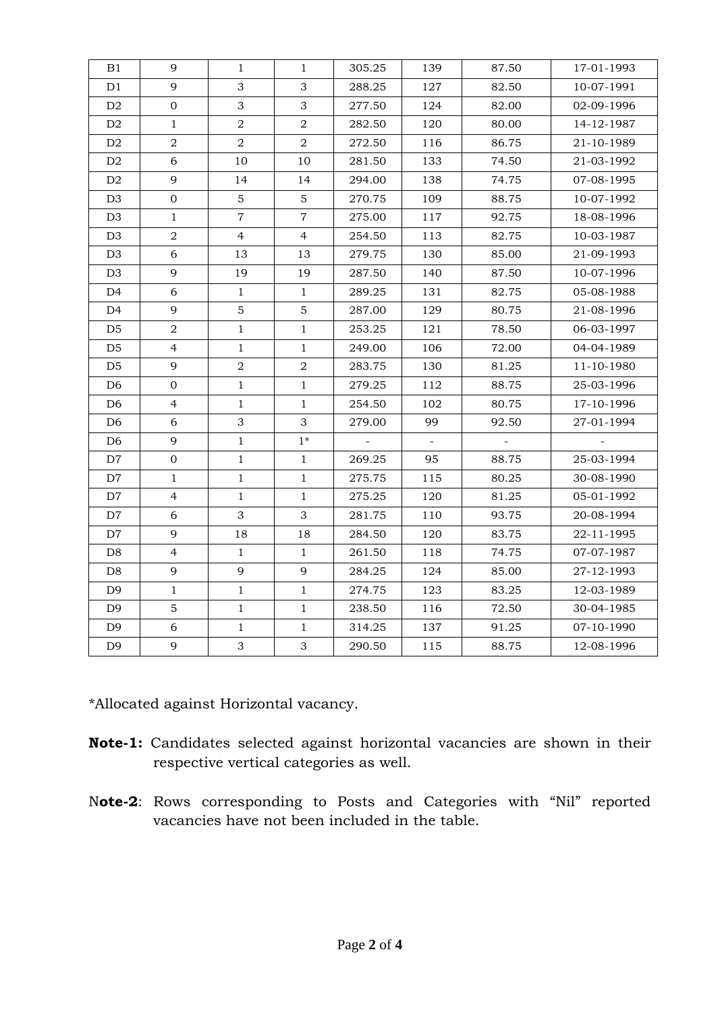| B1             | 9                | 1                | $\mathbf{1}$     | 305.25 | 139    | 87.50  | 17-01-1993 |
|----------------|------------------|------------------|------------------|--------|--------|--------|------------|
|                |                  |                  |                  |        |        |        |            |
| D1             | 9                | 3                | 3                | 288.25 | 127    | 82.50  | 10-07-1991 |
| D <sub>2</sub> | $\mathbf 0$      | 3                | 3                | 277.50 | 124    | 82.00  | 02-09-1996 |
| D <sub>2</sub> | $\mathbf{1}$     | $\boldsymbol{2}$ | $\boldsymbol{2}$ | 282.50 | 120    | 80.00  | 14-12-1987 |
| D <sub>2</sub> | $\overline{2}$   | $\overline{a}$   | $\overline{a}$   | 272.50 | 116    | 86.75  | 21-10-1989 |
| D <sub>2</sub> | 6                | 10               | 10               | 281.50 | 133    | 74.50  | 21-03-1992 |
| D2             | 9                | 14               | 14               | 294.00 | 138    | 74.75  | 07-08-1995 |
| D <sub>3</sub> | $\overline{0}$   | $\overline{5}$   | 5                | 270.75 | 109    | 88.75  | 10-07-1992 |
| D <sub>3</sub> | $1\,$            | $\overline{7}$   | $\overline{7}$   | 275.00 | 117    | 92.75  | 18-08-1996 |
| D <sub>3</sub> | $\sqrt{2}$       | $\overline{4}$   | 4                | 254.50 | 113    | 82.75  | 10-03-1987 |
| D <sub>3</sub> | 6                | 13               | 13               | 279.75 | 130    | 85.00  | 21-09-1993 |
| D <sub>3</sub> | 9                | 19               | 19               | 287.50 | 140    | 87.50  | 10-07-1996 |
| D4             | 6                | $\mathbf{1}$     | $\mathbf{1}$     | 289.25 | 131    | 82.75  | 05-08-1988 |
| D4             | 9                | 5                | 5                | 287.00 | 129    | 80.75  | 21-08-1996 |
| D <sub>5</sub> | $\overline{a}$   | $\mathbf{1}$     | $\mathbf{1}$     | 253.25 | 121    | 78.50  | 06-03-1997 |
| D <sub>5</sub> | $\overline{4}$   | $\mathbf{1}$     | $\mathbf{1}$     | 249.00 | 106    | 72.00  | 04-04-1989 |
| D <sub>5</sub> | 9                | $\overline{a}$   | $\overline{a}$   | 283.75 | 130    | 81.25  | 11-10-1980 |
| D <sub>6</sub> | $\mathbf 0$      | $\mathbf{1}$     | $\mathbf{1}$     | 279.25 | 112    | 88.75  | 25-03-1996 |
| D <sub>6</sub> | $\overline{4}$   | $\mathbf{1}$     | $\mathbf{1}$     | 254.50 | 102    | 80.75  | 17-10-1996 |
| D <sub>6</sub> | 6                | 3                | 3                | 279.00 | 99     | 92.50  | 27-01-1994 |
| D <sub>6</sub> | 9                | $\mathbf{1}$     | $1*$             | $\sim$ | $\sim$ | $\sim$ |            |
| D7             | $\boldsymbol{0}$ | $\mathbf{1}$     | $1\,$            | 269.25 | 95     | 88.75  | 25-03-1994 |
| D7             | $\mathbf{1}$     | $\mathbf{1}$     | $\mathbf{1}$     | 275.75 | 115    | 80.25  | 30-08-1990 |
| D7             | $\overline{4}$   | $\mathbf{1}$     | $\mathbf{1}$     | 275.25 | 120    | 81.25  | 05-01-1992 |
| D7             | 6                | 3                | 3                | 281.75 | 110    | 93.75  | 20-08-1994 |
| D7             | 9                | 18               | 18               | 284.50 | 120    | 83.75  | 22-11-1995 |
| D8             | $\overline{4}$   | $\mathbf{1}$     | $\mathbf{1}$     | 261.50 | 118    | 74.75  | 07-07-1987 |
| D <sub>8</sub> | 9                | 9                | 9                | 284.25 | 124    | 85.00  | 27-12-1993 |
| D <sub>9</sub> | $\mathbf{1}$     | $\mathbf{1}$     | $\mathbf{1}$     | 274.75 | 123    | 83.25  | 12-03-1989 |
| D <sub>9</sub> | $\sqrt{5}$       | $\mathbf{1}$     | $\mathbf{1}$     | 238.50 | 116    | 72.50  | 30-04-1985 |
| D <sub>9</sub> | 6                | $\mathbf{1}$     | $\mathbf{1}$     | 314.25 | 137    | 91.25  | 07-10-1990 |
| D <sub>9</sub> | 9                | 3                | 3                | 290.50 | 115    | 88.75  | 12-08-1996 |

\*Allocated against Horizontal vacancy.

- **Note-1:** Candidates selected against horizontal vacancies are shown in their respective vertical categories as well.
- N**ote-2**: Rows corresponding to Posts and Categories with "Nil" reported vacancies have not been included in the table.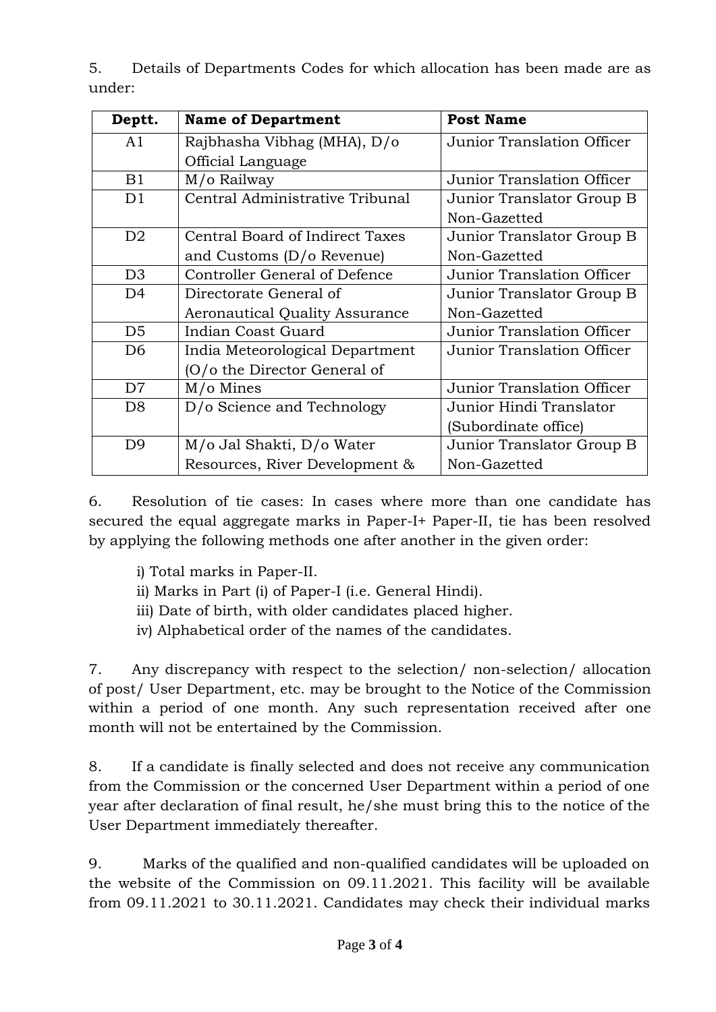5. Details of Departments Codes for which allocation has been made are as under:

| Deptt.         | <b>Name of Department</b>            | <b>Post Name</b>           |
|----------------|--------------------------------------|----------------------------|
| A1             | Rajbhasha Vibhag (MHA), D/o          | Junior Translation Officer |
|                | Official Language                    |                            |
| B1             | M/o Railway                          | Junior Translation Officer |
| D1             | Central Administrative Tribunal      | Junior Translator Group B  |
|                |                                      | Non-Gazetted               |
| D <sub>2</sub> | Central Board of Indirect Taxes      | Junior Translator Group B  |
|                | and Customs $(D/O$ Revenue)          | Non-Gazetted               |
| D <sub>3</sub> | <b>Controller General of Defence</b> | Junior Translation Officer |
| D <sub>4</sub> | Directorate General of               | Junior Translator Group B  |
|                | Aeronautical Quality Assurance       | Non-Gazetted               |
| D <sub>5</sub> | Indian Coast Guard                   | Junior Translation Officer |
| D <sub>6</sub> | India Meteorological Department      | Junior Translation Officer |
|                | (O/o the Director General of         |                            |
| D7             | M/o Mines                            | Junior Translation Officer |
| D <sub>8</sub> | D/o Science and Technology           | Junior Hindi Translator    |
|                |                                      | (Subordinate office)       |
| D <sub>9</sub> | M/o Jal Shakti, D/o Water            | Junior Translator Group B  |
|                | Resources, River Development &       | Non-Gazetted               |

6. Resolution of tie cases: In cases where more than one candidate has secured the equal aggregate marks in Paper-I+ Paper-II, tie has been resolved by applying the following methods one after another in the given order:

- i) Total marks in Paper-II.
- ii) Marks in Part (i) of Paper-I (i.e. General Hindi).
- iii) Date of birth, with older candidates placed higher.
- iv) Alphabetical order of the names of the candidates.

7. Any discrepancy with respect to the selection/ non-selection/ allocation of post/ User Department, etc. may be brought to the Notice of the Commission within a period of one month. Any such representation received after one month will not be entertained by the Commission.

8. If a candidate is finally selected and does not receive any communication from the Commission or the concerned User Department within a period of one year after declaration of final result, he/she must bring this to the notice of the User Department immediately thereafter.

9. Marks of the qualified and non-qualified candidates will be uploaded on the website of the Commission on 09.11.2021. This facility will be available from 09.11.2021 to 30.11.2021. Candidates may check their individual marks